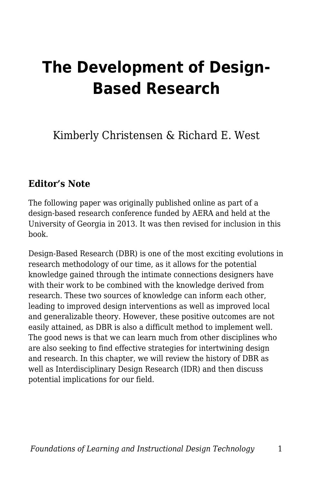# **The Development of Design-Based Research**

Kimberly Christensen & Richard E. West

#### **Editor's Note**

The following paper was originally published online as part of a design-based research conference funded by AERA and held at the University of Georgia in 2013. It was then revised for inclusion in this book.

Design-Based Research (DBR) is one of the most exciting evolutions in research methodology of our time, as it allows for the potential knowledge gained through the intimate connections designers have with their work to be combined with the knowledge derived from research. These two sources of knowledge can inform each other, leading to improved design interventions as well as improved local and generalizable theory. However, these positive outcomes are not easily attained, as DBR is also a difficult method to implement well. The good news is that we can learn much from other disciplines who are also seeking to find effective strategies for intertwining design and research. In this chapter, we will review the history of DBR as well as Interdisciplinary Design Research (IDR) and then discuss potential implications for our field.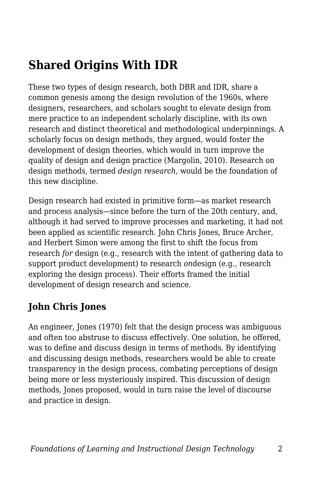## **Shared Origins With IDR**

These two types of design research, both DBR and IDR, share a common genesis among the design revolution of the 1960s, where designers, researchers, and scholars sought to elevate design from mere practice to an independent scholarly discipline, with its own research and distinct theoretical and methodological underpinnings. A scholarly focus on design methods, they argued, would foster the development of design theories, which would in turn improve the quality of design and design practice (Margolin, 2010). Research on design methods, termed *design research,* would be the foundation of this new discipline.

Design research had existed in primitive form—as market research and process analysis—since before the turn of the 20th century, and, although it had served to improve processes and marketing, it had not been applied as scientific research. John Chris Jones, Bruce Archer, and Herbert Simon were among the first to shift the focus from research *for* design (e.g., research with the intent of gathering data to support product development) to research *on*design (e.g., research exploring the design process). Their efforts framed the initial development of design research and science.

## **John Chris Jones**

An engineer, Jones (1970) felt that the design process was ambiguous and often too abstruse to discuss effectively. One solution, he offered, was to define and discuss design in terms of methods. By identifying and discussing design methods, researchers would be able to create transparency in the design process, combating perceptions of design being more or less mysteriously inspired. This discussion of design methods, Jones proposed, would in turn raise the level of discourse and practice in design.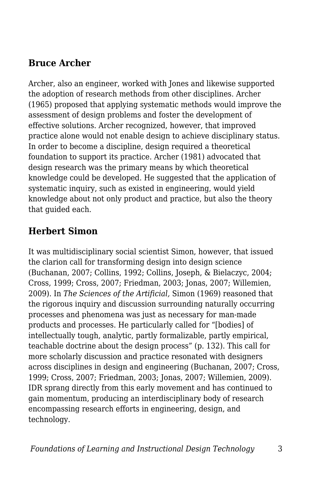### **Bruce Archer**

Archer, also an engineer, worked with Jones and likewise supported the adoption of research methods from other disciplines. Archer (1965) proposed that applying systematic methods would improve the assessment of design problems and foster the development of effective solutions. Archer recognized, however, that improved practice alone would not enable design to achieve disciplinary status. In order to become a discipline, design required a theoretical foundation to support its practice. Archer (1981) advocated that design research was the primary means by which theoretical knowledge could be developed. He suggested that the application of systematic inquiry, such as existed in engineering, would yield knowledge about not only product and practice, but also the theory that guided each.

## **Herbert Simon**

It was multidisciplinary social scientist Simon, however, that issued the clarion call for transforming design into design science (Buchanan, 2007; Collins, 1992; Collins, Joseph, & Bielaczyc, 2004; Cross, 1999; Cross, 2007; Friedman, 2003; Jonas, 2007; Willemien, 2009). In *The Sciences of the Artificial,* Simon (1969) reasoned that the rigorous inquiry and discussion surrounding naturally occurring processes and phenomena was just as necessary for man-made products and processes. He particularly called for "[bodies] of intellectually tough, analytic, partly formalizable, partly empirical, teachable doctrine about the design process" (p. 132). This call for more scholarly discussion and practice resonated with designers across disciplines in design and engineering (Buchanan, 2007; Cross, 1999; Cross, 2007; Friedman, 2003; Jonas, 2007; Willemien, 2009). IDR sprang directly from this early movement and has continued to gain momentum, producing an interdisciplinary body of research encompassing research efforts in engineering, design, and technology.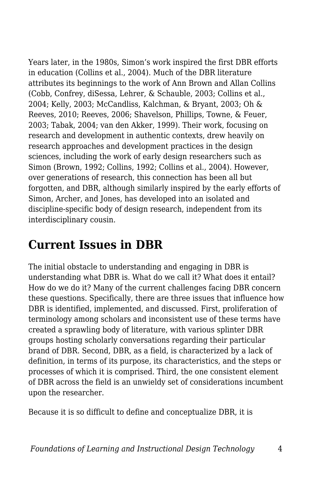Years later, in the 1980s, Simon's work inspired the first DBR efforts in education (Collins et al., 2004). Much of the DBR literature attributes its beginnings to the work of Ann Brown and Allan Collins (Cobb, Confrey, diSessa, Lehrer, & Schauble, 2003; Collins et al., 2004; Kelly, 2003; McCandliss, Kalchman, & Bryant, 2003; Oh & Reeves, 2010; Reeves, 2006; Shavelson, Phillips, Towne, & Feuer, 2003; Tabak, 2004; van den Akker, 1999). Their work, focusing on research and development in authentic contexts, drew heavily on research approaches and development practices in the design sciences, including the work of early design researchers such as Simon (Brown, 1992; Collins, 1992; Collins et al., 2004). However, over generations of research, this connection has been all but forgotten, and DBR, although similarly inspired by the early efforts of Simon, Archer, and Jones, has developed into an isolated and discipline-specific body of design research, independent from its interdisciplinary cousin.

## **Current Issues in DBR**

The initial obstacle to understanding and engaging in DBR is understanding what DBR is. What do we call it? What does it entail? How do we do it? Many of the current challenges facing DBR concern these questions. Specifically, there are three issues that influence how DBR is identified, implemented, and discussed. First, proliferation of terminology among scholars and inconsistent use of these terms have created a sprawling body of literature, with various splinter DBR groups hosting scholarly conversations regarding their particular brand of DBR. Second, DBR, as a field, is characterized by a lack of definition, in terms of its purpose, its characteristics, and the steps or processes of which it is comprised. Third, the one consistent element of DBR across the field is an unwieldy set of considerations incumbent upon the researcher.

Because it is so difficult to define and conceptualize DBR, it is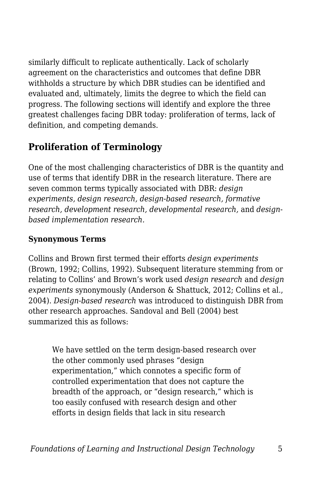similarly difficult to replicate authentically. Lack of scholarly agreement on the characteristics and outcomes that define DBR withholds a structure by which DBR studies can be identified and evaluated and, ultimately, limits the degree to which the field can progress. The following sections will identify and explore the three greatest challenges facing DBR today: proliferation of terms, lack of definition, and competing demands.

## **Proliferation of Terminology**

One of the most challenging characteristics of DBR is the quantity and use of terms that identify DBR in the research literature. There are seven common terms typically associated with DBR: *design experiments, design research, design-based research, formative research, development research, developmental research,* and *designbased implementation research.*

#### **Synonymous Terms**

Collins and Brown first termed their efforts *design experiments* (Brown, 1992; Collins, 1992). Subsequent literature stemming from or relating to Collins' and Brown's work used *design research* and *design experiments* synonymously (Anderson & Shattuck, 2012; Collins et al., 2004). *Design-based research* was introduced to distinguish DBR from other research approaches. Sandoval and Bell (2004) best summarized this as follows:

We have settled on the term design-based research over the other commonly used phrases "design experimentation," which connotes a specific form of controlled experimentation that does not capture the breadth of the approach, or "design research," which is too easily confused with research design and other efforts in design fields that lack in situ research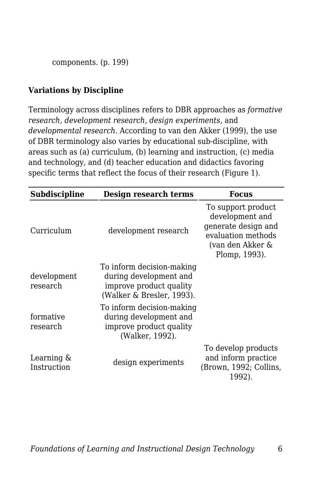components. (p. 199)

#### **Variations by Discipline**

Terminology across disciplines refers to DBR approaches as *formative research, development research, design experiments,* and *developmental research.* According to van den Akker (1999), the use of DBR terminology also varies by educational sub-discipline, with areas such as (a) curriculum, (b) learning and instruction, (c) media and technology, and (d) teacher education and didactics favoring specific terms that reflect the focus of their research (Figure 1).

| Subdiscipline                | Design research terms                                                                                       | <b>Focus</b>                                                                                                            |
|------------------------------|-------------------------------------------------------------------------------------------------------------|-------------------------------------------------------------------------------------------------------------------------|
| Curriculum                   | development research                                                                                        | To support product<br>development and<br>generate design and<br>evaluation methods<br>(van den Akker &<br>Plomp, 1993). |
| development<br>research      | To inform decision-making<br>during development and<br>improve product quality<br>(Walker & Bresler, 1993). |                                                                                                                         |
| formative<br>research        | To inform decision-making<br>during development and<br>improve product quality<br>(Walker, 1992).           |                                                                                                                         |
| Learning $\&$<br>Instruction | design experiments                                                                                          | To develop products<br>and inform practice<br>(Brown, 1992; Collins,<br>1992).                                          |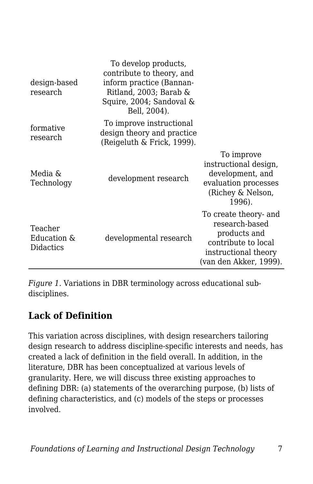| design-based<br>research            | To develop products,<br>contribute to theory, and<br>inform practice (Bannan-<br>Ritland, 2003; Barab &<br>Squire, 2004; Sandoval &<br>Bell, 2004). |                                                                                                                                  |
|-------------------------------------|-----------------------------------------------------------------------------------------------------------------------------------------------------|----------------------------------------------------------------------------------------------------------------------------------|
| formative<br>research               | To improve instructional<br>design theory and practice<br>(Reigeluth & Frick, 1999).                                                                |                                                                                                                                  |
| Media &<br>Technology               | development research                                                                                                                                | To improve<br>instructional design,<br>development, and<br>evaluation processes<br>(Richey & Nelson,<br>1996).                   |
| Teacher<br>Education &<br>Didactics | developmental research                                                                                                                              | To create theory- and<br>research-based<br>products and<br>contribute to local<br>instructional theory<br>(van den Akker, 1999). |

*Figure 1.* Variations in DBR terminology across educational subdisciplines.

## **Lack of Definition**

This variation across disciplines, with design researchers tailoring design research to address discipline-specific interests and needs, has created a lack of definition in the field overall. In addition, in the literature, DBR has been conceptualized at various levels of granularity. Here, we will discuss three existing approaches to defining DBR: (a) statements of the overarching purpose, (b) lists of defining characteristics, and (c) models of the steps or processes involved.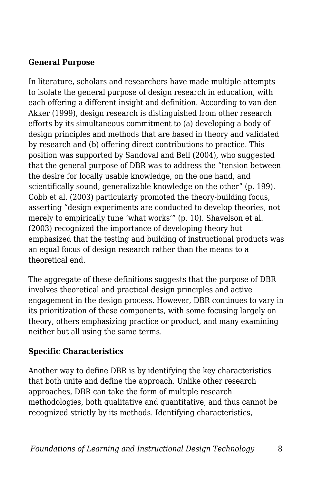#### **General Purpose**

In literature, scholars and researchers have made multiple attempts to isolate the general purpose of design research in education, with each offering a different insight and definition. According to van den Akker (1999), design research is distinguished from other research efforts by its simultaneous commitment to (a) developing a body of design principles and methods that are based in theory and validated by research and (b) offering direct contributions to practice. This position was supported by Sandoval and Bell (2004), who suggested that the general purpose of DBR was to address the "tension between the desire for locally usable knowledge, on the one hand, and scientifically sound, generalizable knowledge on the other" (p. 199). Cobb et al. (2003) particularly promoted the theory-building focus, asserting "design experiments are conducted to develop theories, not merely to empirically tune 'what works'" (p. 10). Shavelson et al. (2003) recognized the importance of developing theory but emphasized that the testing and building of instructional products was an equal focus of design research rather than the means to a theoretical end.

The aggregate of these definitions suggests that the purpose of DBR involves theoretical and practical design principles and active engagement in the design process. However, DBR continues to vary in its prioritization of these components, with some focusing largely on theory, others emphasizing practice or product, and many examining neither but all using the same terms.

#### **Specific Characteristics**

Another way to define DBR is by identifying the key characteristics that both unite and define the approach. Unlike other research approaches, DBR can take the form of multiple research methodologies, both qualitative and quantitative, and thus cannot be recognized strictly by its methods. Identifying characteristics,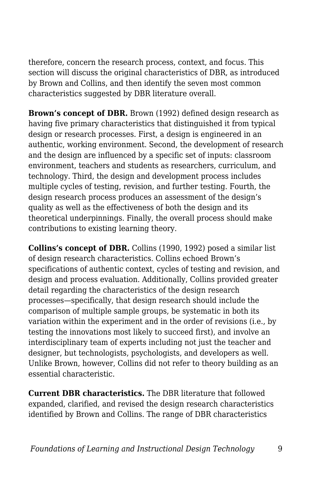therefore, concern the research process, context, and focus. This section will discuss the original characteristics of DBR, as introduced by Brown and Collins, and then identify the seven most common characteristics suggested by DBR literature overall.

**Brown's concept of DBR.** Brown (1992) defined design research as having five primary characteristics that distinguished it from typical design or research processes. First, a design is engineered in an authentic, working environment. Second, the development of research and the design are influenced by a specific set of inputs: classroom environment, teachers and students as researchers, curriculum, and technology. Third, the design and development process includes multiple cycles of testing, revision, and further testing. Fourth, the design research process produces an assessment of the design's quality as well as the effectiveness of both the design and its theoretical underpinnings. Finally, the overall process should make contributions to existing learning theory.

**Collins's concept of DBR.** Collins (1990, 1992) posed a similar list of design research characteristics. Collins echoed Brown's specifications of authentic context, cycles of testing and revision, and design and process evaluation. Additionally, Collins provided greater detail regarding the characteristics of the design research processes—specifically, that design research should include the comparison of multiple sample groups, be systematic in both its variation within the experiment and in the order of revisions (i.e., by testing the innovations most likely to succeed first), and involve an interdisciplinary team of experts including not just the teacher and designer, but technologists, psychologists, and developers as well. Unlike Brown, however, Collins did not refer to theory building as an essential characteristic.

**Current DBR characteristics.** The DBR literature that followed expanded, clarified, and revised the design research characteristics identified by Brown and Collins. The range of DBR characteristics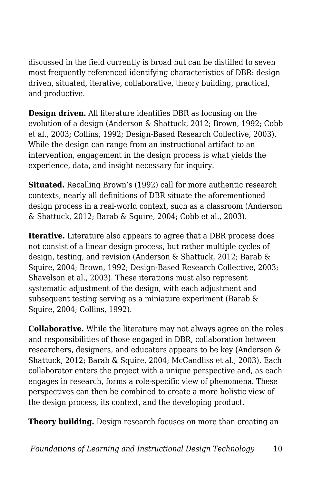discussed in the field currently is broad but can be distilled to seven most frequently referenced identifying characteristics of DBR: design driven, situated, iterative, collaborative, theory building, practical, and productive.

**Design driven.** All literature identifies DBR as focusing on the evolution of a design (Anderson & Shattuck, 2012; Brown, 1992; Cobb et al., 2003; Collins, 1992; Design-Based Research Collective, 2003). While the design can range from an instructional artifact to an intervention, engagement in the design process is what yields the experience, data, and insight necessary for inquiry.

**Situated.** Recalling Brown's (1992) call for more authentic research contexts, nearly all definitions of DBR situate the aforementioned design process in a real-world context, such as a classroom (Anderson & Shattuck, 2012; Barab & Squire, 2004; Cobb et al., 2003).

**Iterative.** Literature also appears to agree that a DBR process does not consist of a linear design process, but rather multiple cycles of design, testing, and revision (Anderson & Shattuck, 2012; Barab & Squire, 2004; Brown, 1992; Design-Based Research Collective, 2003; Shavelson et al., 2003). These iterations must also represent systematic adjustment of the design, with each adjustment and subsequent testing serving as a miniature experiment (Barab & Squire, 2004; Collins, 1992).

**Collaborative.** While the literature may not always agree on the roles and responsibilities of those engaged in DBR, collaboration between researchers, designers, and educators appears to be key (Anderson & Shattuck, 2012; Barab & Squire, 2004; McCandliss et al., 2003). Each collaborator enters the project with a unique perspective and, as each engages in research, forms a role-specific view of phenomena. These perspectives can then be combined to create a more holistic view of the design process, its context, and the developing product.

**Theory building.** Design research focuses on more than creating an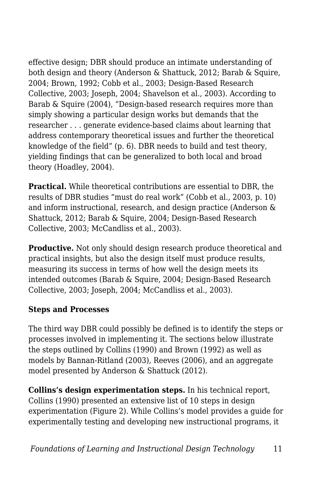effective design; DBR should produce an intimate understanding of both design and theory (Anderson & Shattuck, 2012; Barab & Squire, 2004; Brown, 1992; Cobb et al., 2003; Design-Based Research Collective, 2003; Joseph, 2004; Shavelson et al., 2003). According to Barab & Squire (2004), "Design-based research requires more than simply showing a particular design works but demands that the researcher . . . generate evidence-based claims about learning that address contemporary theoretical issues and further the theoretical knowledge of the field" (p. 6). DBR needs to build and test theory, yielding findings that can be generalized to both local and broad theory (Hoadley, 2004).

**Practical.** While theoretical contributions are essential to DBR, the results of DBR studies "must do real work" (Cobb et al., 2003, p. 10) and inform instructional, research, and design practice (Anderson & Shattuck, 2012; Barab & Squire, 2004; Design-Based Research Collective, 2003; McCandliss et al., 2003).

**Productive.** Not only should design research produce theoretical and practical insights, but also the design itself must produce results, measuring its success in terms of how well the design meets its intended outcomes (Barab & Squire, 2004; Design-Based Research Collective, 2003; Joseph, 2004; McCandliss et al., 2003).

#### **Steps and Processes**

The third way DBR could possibly be defined is to identify the steps or processes involved in implementing it. The sections below illustrate the steps outlined by Collins (1990) and Brown (1992) as well as models by Bannan-Ritland (2003), Reeves (2006), and an aggregate model presented by Anderson & Shattuck (2012).

**Collins's design experimentation steps.** In his technical report, Collins (1990) presented an extensive list of 10 steps in design experimentation (Figure 2). While Collins's model provides a guide for experimentally testing and developing new instructional programs, it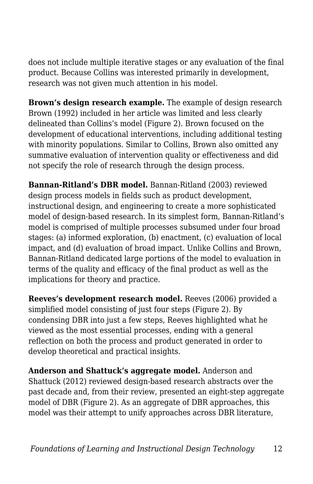does not include multiple iterative stages or any evaluation of the final product. Because Collins was interested primarily in development, research was not given much attention in his model.

**Brown's design research example.** The example of design research Brown (1992) included in her article was limited and less clearly delineated than Collins's model (Figure 2). Brown focused on the development of educational interventions, including additional testing with minority populations. Similar to Collins, Brown also omitted any summative evaluation of intervention quality or effectiveness and did not specify the role of research through the design process.

**Bannan-Ritland's DBR model.** Bannan-Ritland (2003) reviewed design process models in fields such as product development, instructional design, and engineering to create a more sophisticated model of design-based research. In its simplest form, Bannan-Ritland's model is comprised of multiple processes subsumed under four broad stages: (a) informed exploration, (b) enactment, (c) evaluation of local impact, and (d) evaluation of broad impact. Unlike Collins and Brown, Bannan-Ritland dedicated large portions of the model to evaluation in terms of the quality and efficacy of the final product as well as the implications for theory and practice.

**Reeves's development research model.** Reeves (2006) provided a simplified model consisting of just four steps (Figure 2). By condensing DBR into just a few steps, Reeves highlighted what he viewed as the most essential processes, ending with a general reflection on both the process and product generated in order to develop theoretical and practical insights.

**Anderson and Shattuck's aggregate model.** Anderson and Shattuck (2012) reviewed design-based research abstracts over the past decade and, from their review, presented an eight-step aggregate model of DBR (Figure 2). As an aggregate of DBR approaches, this model was their attempt to unify approaches across DBR literature,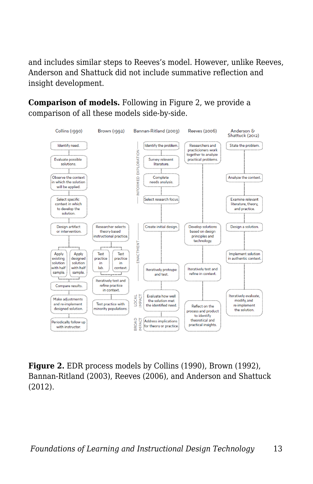and includes similar steps to Reeves's model. However, unlike Reeves, Anderson and Shattuck did not include summative reflection and insight development.

**Comparison of models.** Following in Figure 2, we provide a comparison of all these models side-by-side.



**Figure 2.** EDR process models by Collins (1990), Brown (1992), Bannan-Ritland (2003), Reeves (2006), and Anderson and Shattuck (2012).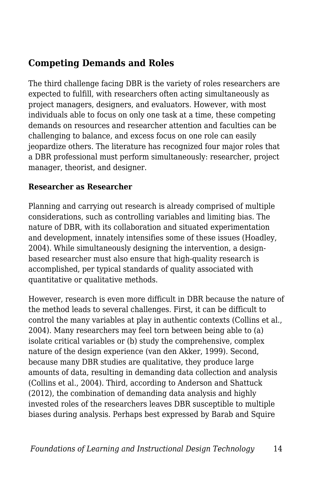## **Competing Demands and Roles**

The third challenge facing DBR is the variety of roles researchers are expected to fulfill, with researchers often acting simultaneously as project managers, designers, and evaluators. However, with most individuals able to focus on only one task at a time, these competing demands on resources and researcher attention and faculties can be challenging to balance, and excess focus on one role can easily jeopardize others. The literature has recognized four major roles that a DBR professional must perform simultaneously: researcher, project manager, theorist, and designer.

#### **Researcher as Researcher**

Planning and carrying out research is already comprised of multiple considerations, such as controlling variables and limiting bias. The nature of DBR, with its collaboration and situated experimentation and development, innately intensifies some of these issues (Hoadley, 2004). While simultaneously designing the intervention, a designbased researcher must also ensure that high-quality research is accomplished, per typical standards of quality associated with quantitative or qualitative methods.

However, research is even more difficult in DBR because the nature of the method leads to several challenges. First, it can be difficult to control the many variables at play in authentic contexts (Collins et al., 2004). Many researchers may feel torn between being able to (a) isolate critical variables or (b) study the comprehensive, complex nature of the design experience (van den Akker, 1999). Second, because many DBR studies are qualitative, they produce large amounts of data, resulting in demanding data collection and analysis (Collins et al., 2004). Third, according to Anderson and Shattuck (2012), the combination of demanding data analysis and highly invested roles of the researchers leaves DBR susceptible to multiple biases during analysis. Perhaps best expressed by Barab and Squire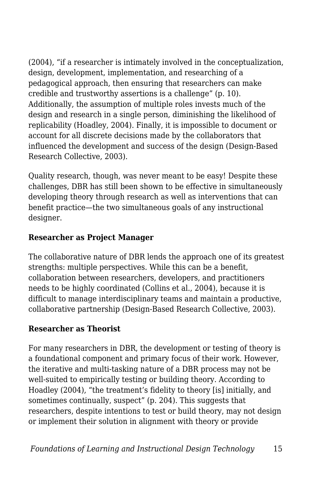(2004), "if a researcher is intimately involved in the conceptualization, design, development, implementation, and researching of a pedagogical approach, then ensuring that researchers can make credible and trustworthy assertions is a challenge" (p. 10). Additionally, the assumption of multiple roles invests much of the design and research in a single person, diminishing the likelihood of replicability (Hoadley, 2004). Finally, it is impossible to document or account for all discrete decisions made by the collaborators that influenced the development and success of the design (Design-Based Research Collective, 2003).

Quality research, though, was never meant to be easy! Despite these challenges, DBR has still been shown to be effective in simultaneously developing theory through research as well as interventions that can benefit practice—the two simultaneous goals of any instructional designer.

#### **Researcher as Project Manager**

The collaborative nature of DBR lends the approach one of its greatest strengths: multiple perspectives. While this can be a benefit, collaboration between researchers, developers, and practitioners needs to be highly coordinated (Collins et al., 2004), because it is difficult to manage interdisciplinary teams and maintain a productive, collaborative partnership (Design-Based Research Collective, 2003).

#### **Researcher as Theorist**

For many researchers in DBR, the development or testing of theory is a foundational component and primary focus of their work. However, the iterative and multi-tasking nature of a DBR process may not be well-suited to empirically testing or building theory. According to Hoadley (2004), "the treatment's fidelity to theory [is] initially, and sometimes continually, suspect" (p. 204). This suggests that researchers, despite intentions to test or build theory, may not design or implement their solution in alignment with theory or provide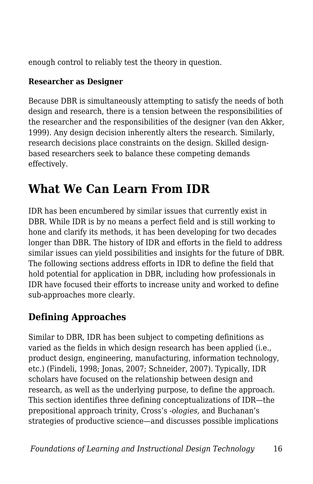enough control to reliably test the theory in question.

#### **Researcher as Designer**

Because DBR is simultaneously attempting to satisfy the needs of both design and research, there is a tension between the responsibilities of the researcher and the responsibilities of the designer (van den Akker, 1999). Any design decision inherently alters the research. Similarly, research decisions place constraints on the design. Skilled designbased researchers seek to balance these competing demands effectively.

## **What We Can Learn From IDR**

IDR has been encumbered by similar issues that currently exist in DBR. While IDR is by no means a perfect field and is still working to hone and clarify its methods, it has been developing for two decades longer than DBR. The history of IDR and efforts in the field to address similar issues can yield possibilities and insights for the future of DBR. The following sections address efforts in IDR to define the field that hold potential for application in DBR, including how professionals in IDR have focused their efforts to increase unity and worked to define sub-approaches more clearly.

## **Defining Approaches**

Similar to DBR, IDR has been subject to competing definitions as varied as the fields in which design research has been applied (i.e., product design, engineering, manufacturing, information technology, etc.) (Findeli, 1998; Jonas, 2007; Schneider, 2007). Typically, IDR scholars have focused on the relationship between design and research, as well as the underlying purpose, to define the approach. This section identifies three defining conceptualizations of IDR—the prepositional approach trinity, Cross's *-ologies,* and Buchanan's strategies of productive science—and discusses possible implications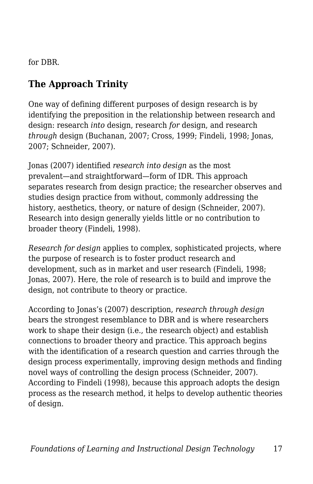for DBR.

## **The Approach Trinity**

One way of defining different purposes of design research is by identifying the preposition in the relationship between research and design: research *into* design, research *for* design, and research *through* design (Buchanan, 2007; Cross, 1999; Findeli, 1998; Jonas, 2007; Schneider, 2007).

Jonas (2007) identified *research into design* as the most prevalent—and straightforward—form of IDR. This approach separates research from design practice; the researcher observes and studies design practice from without, commonly addressing the history, aesthetics, theory, or nature of design (Schneider, 2007). Research into design generally yields little or no contribution to broader theory (Findeli, 1998).

*Research for design* applies to complex, sophisticated projects, where the purpose of research is to foster product research and development, such as in market and user research (Findeli, 1998; Jonas, 2007). Here, the role of research is to build and improve the design, not contribute to theory or practice.

According to Jonas's (2007) description, *research through design* bears the strongest resemblance to DBR and is where researchers work to shape their design (i.e., the research object) and establish connections to broader theory and practice. This approach begins with the identification of a research question and carries through the design process experimentally, improving design methods and finding novel ways of controlling the design process (Schneider, 2007). According to Findeli (1998), because this approach adopts the design process as the research method, it helps to develop authentic theories of design.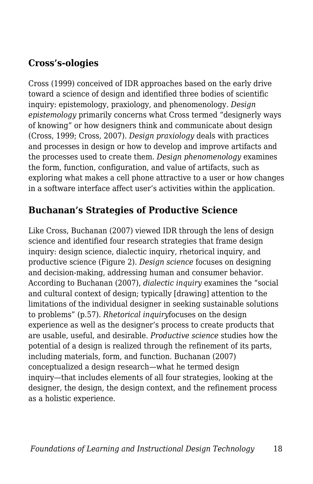### **Cross's-ologies**

Cross (1999) conceived of IDR approaches based on the early drive toward a science of design and identified three bodies of scientific inquiry: epistemology, praxiology, and phenomenology. *Design epistemology* primarily concerns what Cross termed "designerly ways of knowing" or how designers think and communicate about design (Cross, 1999; Cross, 2007). *Design praxiology* deals with practices and processes in design or how to develop and improve artifacts and the processes used to create them. *Design phenomenology* examines the form, function, configuration, and value of artifacts, such as exploring what makes a cell phone attractive to a user or how changes in a software interface affect user's activities within the application.

## **Buchanan's Strategies of Productive Science**

Like Cross, Buchanan (2007) viewed IDR through the lens of design science and identified four research strategies that frame design inquiry: design science, dialectic inquiry, rhetorical inquiry, and productive science (Figure 2). *Design science* focuses on designing and decision-making, addressing human and consumer behavior. According to Buchanan (2007), *dialectic inquiry* examines the "social and cultural context of design; typically [drawing] attention to the limitations of the individual designer in seeking sustainable solutions to problems" (p.57). *Rhetorical inquiry*focuses on the design experience as well as the designer's process to create products that are usable, useful, and desirable. *Productive science* studies how the potential of a design is realized through the refinement of its parts, including materials, form, and function. Buchanan (2007) conceptualized a design research—what he termed design inquiry—that includes elements of all four strategies, looking at the designer, the design, the design context, and the refinement process as a holistic experience.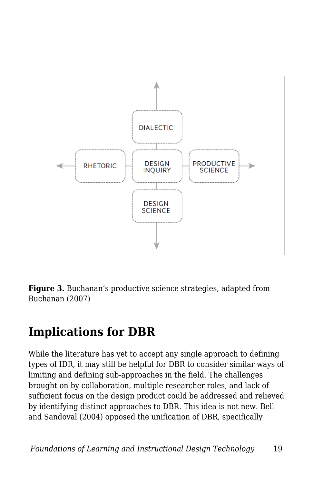

**Figure 3.** Buchanan's productive science strategies, adapted from Buchanan (2007)

## **Implications for DBR**

While the literature has yet to accept any single approach to defining types of IDR, it may still be helpful for DBR to consider similar ways of limiting and defining sub-approaches in the field. The challenges brought on by collaboration, multiple researcher roles, and lack of sufficient focus on the design product could be addressed and relieved by identifying distinct approaches to DBR. This idea is not new. Bell and Sandoval (2004) opposed the unification of DBR, specifically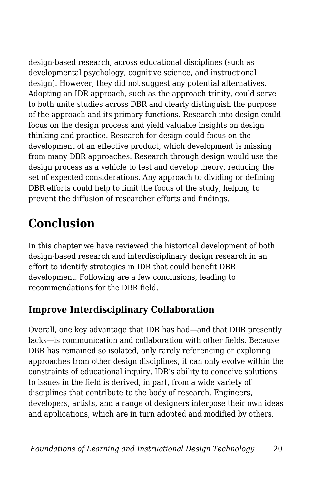design-based research, across educational disciplines (such as developmental psychology, cognitive science, and instructional design). However, they did not suggest any potential alternatives. Adopting an IDR approach, such as the approach trinity, could serve to both unite studies across DBR and clearly distinguish the purpose of the approach and its primary functions. Research into design could focus on the design process and yield valuable insights on design thinking and practice. Research for design could focus on the development of an effective product, which development is missing from many DBR approaches. Research through design would use the design process as a vehicle to test and develop theory, reducing the set of expected considerations. Any approach to dividing or defining DBR efforts could help to limit the focus of the study, helping to prevent the diffusion of researcher efforts and findings.

## **Conclusion**

In this chapter we have reviewed the historical development of both design-based research and interdisciplinary design research in an effort to identify strategies in IDR that could benefit DBR development. Following are a few conclusions, leading to recommendations for the DBR field.

## **Improve Interdisciplinary Collaboration**

Overall, one key advantage that IDR has had—and that DBR presently lacks—is communication and collaboration with other fields. Because DBR has remained so isolated, only rarely referencing or exploring approaches from other design disciplines, it can only evolve within the constraints of educational inquiry. IDR's ability to conceive solutions to issues in the field is derived, in part, from a wide variety of disciplines that contribute to the body of research. Engineers, developers, artists, and a range of designers interpose their own ideas and applications, which are in turn adopted and modified by others.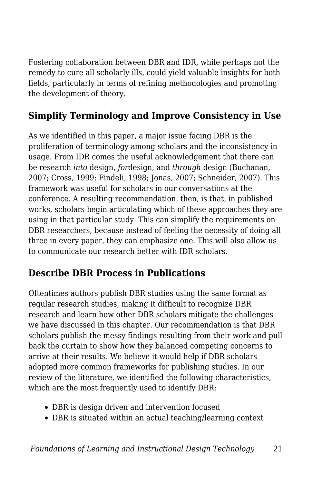Fostering collaboration between DBR and IDR, while perhaps not the remedy to cure all scholarly ills, could yield valuable insights for both fields, particularly in terms of refining methodologies and promoting the development of theory.

## **Simplify Terminology and Improve Consistency in Use**

As we identified in this paper, a major issue facing DBR is the proliferation of terminology among scholars and the inconsistency in usage. From IDR comes the useful acknowledgement that there can be research *into* design, *for*design, and *through* design (Buchanan, 2007; Cross, 1999; Findeli, 1998; Jonas, 2007; Schneider, 2007). This framework was useful for scholars in our conversations at the conference. A resulting recommendation, then, is that, in published works, scholars begin articulating which of these approaches they are using in that particular study. This can simplify the requirements on DBR researchers, because instead of feeling the necessity of doing all three in every paper, they can emphasize one. This will also allow us to communicate our research better with IDR scholars.

## **Describe DBR Process in Publications**

Oftentimes authors publish DBR studies using the same format as regular research studies, making it difficult to recognize DBR research and learn how other DBR scholars mitigate the challenges we have discussed in this chapter. Our recommendation is that DBR scholars publish the messy findings resulting from their work and pull back the curtain to show how they balanced competing concerns to arrive at their results. We believe it would help if DBR scholars adopted more common frameworks for publishing studies. In our review of the literature, we identified the following characteristics, which are the most frequently used to identify DBR:

- DBR is design driven and intervention focused
- DBR is situated within an actual teaching/learning context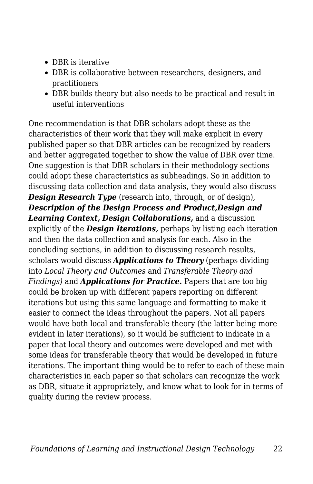- DBR is iterative
- DBR is collaborative between researchers, designers, and practitioners
- DBR builds theory but also needs to be practical and result in useful interventions

One recommendation is that DBR scholars adopt these as the characteristics of their work that they will make explicit in every published paper so that DBR articles can be recognized by readers and better aggregated together to show the value of DBR over time. One suggestion is that DBR scholars in their methodology sections could adopt these characteristics as subheadings. So in addition to discussing data collection and data analysis, they would also discuss *Design Research Type* (research into, through, or of design), *Description of the Design Process and Product,Design and Learning Context, Design Collaborations,* and a discussion explicitly of the *Design Iterations,* perhaps by listing each iteration and then the data collection and analysis for each. Also in the concluding sections, in addition to discussing research results, scholars would discuss *Applications to Theory* (perhaps dividing into *Local Theory and Outcomes* and *Transferable Theory and Findings)* and *Applications for Practice.* Papers that are too big could be broken up with different papers reporting on different iterations but using this same language and formatting to make it easier to connect the ideas throughout the papers. Not all papers would have both local and transferable theory (the latter being more evident in later iterations), so it would be sufficient to indicate in a paper that local theory and outcomes were developed and met with some ideas for transferable theory that would be developed in future iterations. The important thing would be to refer to each of these main characteristics in each paper so that scholars can recognize the work as DBR, situate it appropriately, and know what to look for in terms of quality during the review process.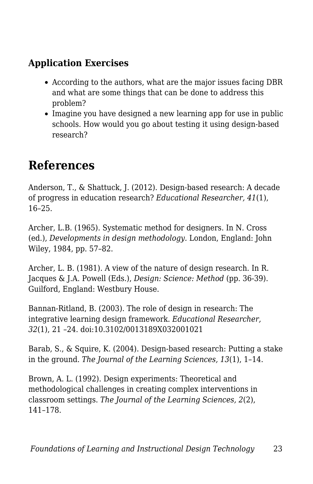### **Application Exercises**

- According to the authors, what are the major issues facing DBR and what are some things that can be done to address this problem?
- Imagine you have designed a new learning app for use in public schools. How would you go about testing it using design-based research?

## **References**

Anderson, T., & Shattuck, J. (2012). Design-based research: A decade of progress in education research? *Educational Researcher, 41*(1), 16–25.

Archer, L.B. (1965). Systematic method for designers. In N. Cross (ed.), *Developments in design methodology.* London, England: John Wiley, 1984, pp. 57–82.

Archer, L. B. (1981). A view of the nature of design research. In R. Jacques & J.A. Powell (Eds.), *Design: Science: Method* (pp. 36-39). Guilford, England: Westbury House.

Bannan-Ritland, B. (2003). The role of design in research: The integrative learning design framework. *Educational Researcher, 32*(1), 21 –24. doi:10.3102/0013189X032001021

Barab, S., & Squire, K. (2004). Design-based research: Putting a stake in the ground. *The Journal of the Learning Sciences, 13*(1), 1–14.

Brown, A. L. (1992). Design experiments: Theoretical and methodological challenges in creating complex interventions in classroom settings. *The Journal of the Learning Sciences, 2*(2), 141–178.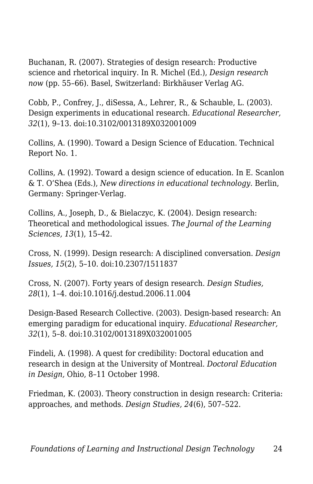Buchanan, R. (2007). Strategies of design research: Productive science and rhetorical inquiry. In R. Michel (Ed.), *Design research now* (pp. 55–66). Basel, Switzerland: Birkhäuser Verlag AG.

Cobb, P., Confrey, J., diSessa, A., Lehrer, R., & Schauble, L. (2003). Design experiments in educational research. *Educational Researcher, 32*(1), 9–13. doi:10.3102/0013189X032001009

Collins, A. (1990). Toward a Design Science of Education. Technical Report No. 1.

Collins, A. (1992). Toward a design science of education. In E. Scanlon & T. O'Shea (Eds.), *New directions in educational technology.* Berlin, Germany: Springer-Verlag.

Collins, A., Joseph, D., & Bielaczyc, K. (2004). Design research: Theoretical and methodological issues. *The Journal of the Learning Sciences, 13*(1), 15–42.

Cross, N. (1999). Design research: A disciplined conversation. *Design Issues, 15*(2), 5–10. doi:10.2307/1511837

Cross, N. (2007). Forty years of design research. *Design Studies, 28*(1), 1–4. doi:10.1016/j.destud.2006.11.004

Design-Based Research Collective. (2003). Design-based research: An emerging paradigm for educational inquiry. *Educational Researcher, 32*(1), 5–8. doi:10.3102/0013189X032001005

Findeli, A. (1998). A quest for credibility: Doctoral education and research in design at the University of Montreal. *Doctoral Education in Design,* Ohio, 8–11 October 1998.

Friedman, K. (2003). Theory construction in design research: Criteria: approaches, and methods. *Design Studies, 24*(6), 507–522.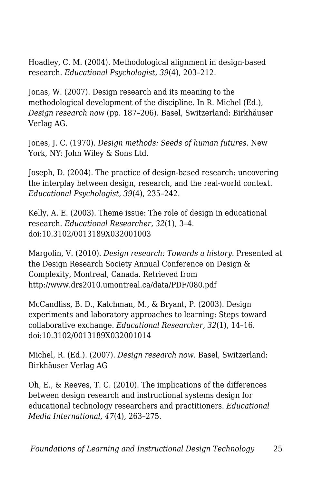Hoadley, C. M. (2004). Methodological alignment in design-based research. *Educational Psychologist, 39*(4), 203–212.

Jonas, W. (2007). Design research and its meaning to the methodological development of the discipline. In R. Michel (Ed.), *Design research now* (pp. 187–206). Basel, Switzerland: Birkhäuser Verlag AG.

Jones, J. C. (1970). *Design methods: Seeds of human futures.* New York, NY: John Wiley & Sons Ltd.

Joseph, D. (2004). The practice of design-based research: uncovering the interplay between design, research, and the real-world context. *Educational Psychologist, 39*(4), 235–242.

Kelly, A. E. (2003). Theme issue: The role of design in educational research. *Educational Researcher, 32*(1), 3–4. doi:10.3102/0013189X032001003

Margolin, V. (2010). *Design research: Towards a history.* Presented at the Design Research Society Annual Conference on Design & Complexity, Montreal, Canada. Retrieved from http://www.drs2010.umontreal.ca/data/PDF/080.pdf

McCandliss, B. D., Kalchman, M., & Bryant, P. (2003). Design experiments and laboratory approaches to learning: Steps toward collaborative exchange. *Educational Researcher, 32*(1), 14–16. doi:10.3102/0013189X032001014

Michel, R. (Ed.). (2007). *Design research now.* Basel, Switzerland: Birkhäuser Verlag AG

Oh, E., & Reeves, T. C. (2010). The implications of the differences between design research and instructional systems design for educational technology researchers and practitioners. *Educational Media International, 47*(4), 263–275.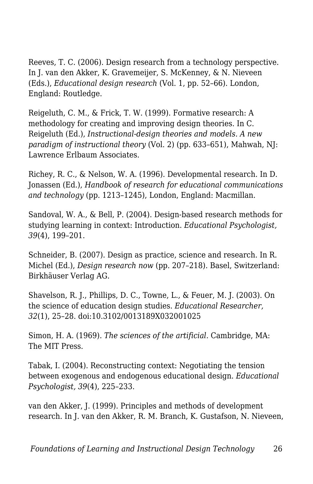Reeves, T. C. (2006). Design research from a technology perspective. In J. van den Akker, K. Gravemeijer, S. McKenney, & N. Nieveen (Eds.), *Educational design research* (Vol. 1, pp. 52–66). London, England: Routledge.

Reigeluth, C. M., & Frick, T. W. (1999). Formative research: A methodology for creating and improving design theories. In C. Reigeluth (Ed.), *Instructional-design theories and models. A new paradigm of instructional theory* (Vol. 2) (pp. 633–651), Mahwah, NJ: Lawrence Erlbaum Associates.

Richey, R. C., & Nelson, W. A. (1996). Developmental research. In D. Jonassen (Ed.), *Handbook of research for educational communications and technology* (pp. 1213–1245), London, England: Macmillan.

Sandoval, W. A., & Bell, P. (2004). Design-based research methods for studying learning in context: Introduction. *Educational Psychologist, 39*(4), 199–201.

Schneider, B. (2007). Design as practice, science and research. In R. Michel (Ed.), *Design research now* (pp. 207–218). Basel, Switzerland: Birkhäuser Verlag AG.

Shavelson, R. J., Phillips, D. C., Towne, L., & Feuer, M. J. (2003). On the science of education design studies. *Educational Researcher, 32*(1), 25–28. doi:10.3102/0013189X032001025

Simon, H. A. (1969). *The sciences of the artificial.* Cambridge, MA: The MIT Press.

Tabak, I. (2004). Reconstructing context: Negotiating the tension between exogenous and endogenous educational design. *Educational Psychologist, 39*(4), 225–233.

van den Akker, J. (1999). Principles and methods of development research. In J. van den Akker, R. M. Branch, K. Gustafson, N. Nieveen,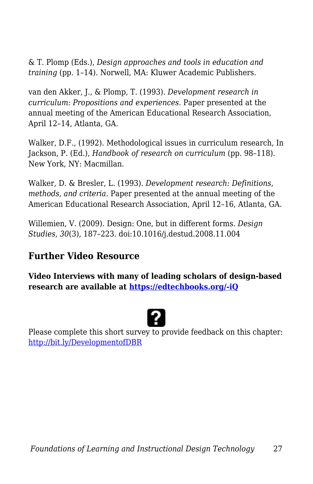& T. Plomp (Eds.), *Design approaches and tools in education and training* (pp. 1–14). Norwell, MA: Kluwer Academic Publishers.

van den Akker, J., & Plomp, T. (1993). *Development research in curriculum: Propositions and experiences.* Paper presented at the annual meeting of the American Educational Research Association, April 12–14, Atlanta, GA.

Walker, D.F., (1992). Methodological issues in curriculum research, In Jackson, P. (Ed.), *Handbook of research on curriculum* (pp. 98–118). New York, NY: Macmillan.

Walker, D. & Bresler, L. (1993). *Development research: Definitions, methods, and criteria.* Paper presented at the annual meeting of the American Educational Research Association, April 12–16, Atlanta, GA.

Willemien, V. (2009). Design: One, but in different forms. *Design Studies, 30*(3), 187–223. doi:10.1016/j.destud.2008.11.004

#### **Further Video Resource**

**Video Interviews with many of leading scholars of design-based research are available at [https://edtechbooks.org/-iQ](https://www.youtube.com/user/DesignBasedResearch/videos)**



Please complete this short survey to provide feedback on this chapter: <http://bit.ly/DevelopmentofDBR>